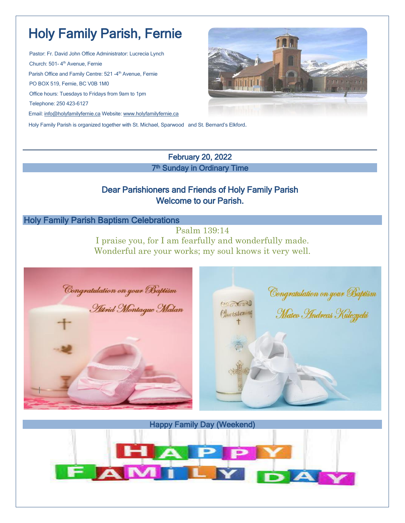# Holy Family Parish, Fernie

Pastor: Fr. David John Office Administrator: Lucrecia Lynch Church: 501-4<sup>th</sup> Avenue, Fernie Parish Office and Family Centre: 521 -4<sup>th</sup> Avenue, Fernie PO BOX 519, Fernie, BC V0B 1M0 Office hours: Tuesdays to Fridays from 9am to 1pm Telephone: 250 423-6127 Email: [info@holyfamilyfernie.ca](mailto:info@holyfamilyfernie.ca) Website[: www.holyfamilyfernie.ca](http://www.holyfamilyfernie.ca/)



Holy Family Parish is organized together with St. Michael, Sparwood and St. Bernard's Elkford.

#### February 20, 2022 7<sup>th</sup> Sunday in Ordinary Time

## Dear Parishioners and Friends of Holy Family Parish Welcome to our Parish.

#### Holy Family Parish Baptism Celebrations

Psalm 139:14 I praise you, for I am fearfully and wonderfully made. Wonderful are your works; my soul knows it very well.



Happy Family Day (Weekend)

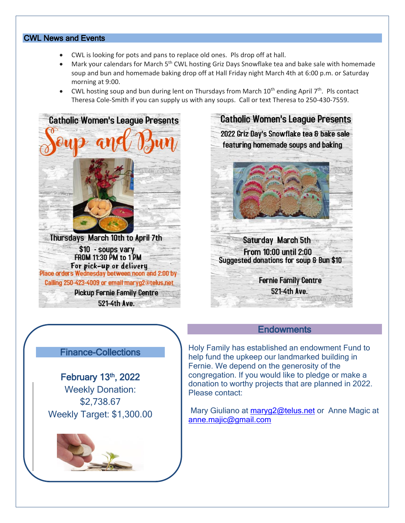#### CWL News and Events

- CWL is looking for pots and pans to replace old ones. Pls drop off at hall.
- Mark your calendars for March 5<sup>th</sup> CWL hosting Griz Days Snowflake tea and bake sale with homemade soup and bun and homemade baking drop off at Hall Friday night March 4th at 6:00 p.m. or Saturday morning at 9:00.
- CWL hosting soup and bun during lent on Thursdays from March  $10^{th}$  ending April  $7^{th}$ . Pls contact Theresa Cole-Smith if you can supply us with any soups. Call or text Theresa to 250-430-7559.



Calling 250-423-4009 or email maryg2@telus.net

**Pickup Fernie Family Centre** 521-4th Ave.



## Finance-Collections

February 13<sup>th</sup>, 2022 Weekly Donation: \$2,738.67 Weekly Target: \$1,300.00



**Endowments** 

Mary Giuliano at [maryg2@telus.net](mailto:maryg2@telus.net) or Anne Magic at [anne.majic@gmail.com](mailto:anne.majic@gmail.com)